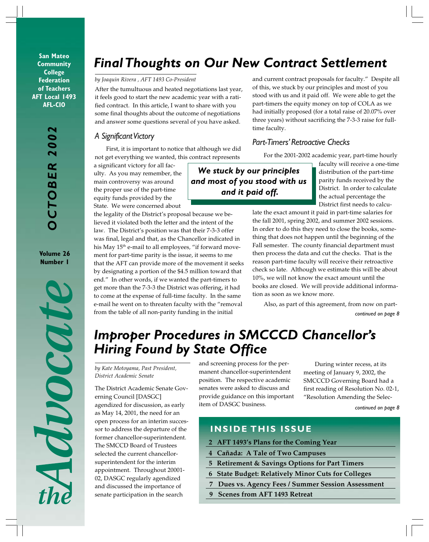**San Mateo Community College Federation of Teachers AFT Local 1493 AFL-CIO**

> *OCTOBER 2002* CTOBER

**Volume 26 Number 1**



# *Final Thoughts on Our New Contract Settlement*

#### *by Joaquin Rivera , AFT 1493 Co-President*

After the tumultuous and heated negotiations last year, it feels good to start the new academic year with a ratified contract. In this article, I want to share with you some final thoughts about the outcome of negotiations and answer some questions several of you have asked.

#### *A Significant Victory*

First, it is important to notice that although we did not get everything we wanted, this contract represents

a significant victory for all faculty. As you may remember, the main controversy was around the proper use of the part-time equity funds provided by the State. We were concerned about

the legality of the District's proposal because we believed it violated both the letter and the intent of the law. The District's position was that their 7-3-3 offer was final, legal and that, as the Chancellor indicated in his May 15<sup>th</sup> e-mail to all employees, "if forward movement for part-time parity is the issue, it seems to me that the AFT can provide more of the movement it seeks by designating a portion of the \$4.5 million toward that end." In other words, if we wanted the part-timers to get more than the 7-3-3 the District was offering, it had to come at the expense of full-time faculty. In the same e-mail he went on to threaten faculty with the "removal from the table of all non-parity funding in the initial

and current contract proposals for faculty." Despite all of this, we stuck by our principles and most of you stood with us and it paid off. We were able to get the part-timers the equity money on top of COLA as we had initially proposed (for a total raise of 20.07% over three years) without sacrificing the 7-3-3 raise for fulltime faculty.

#### *Part-Timers' Retroactive Checks*

For the 2001-2002 academic year, part-time hourly

*We stuck by our principles and most of you stood with us and it paid off.*

faculty will receive a one-time distribution of the part-time parity funds received by the District. In order to calculate the actual percentage the District first needs to calcu-

late the exact amount it paid in part-time salaries for the fall 2001, spring 2002, and summer 2002 sessions. In order to do this they need to close the books, something that does not happen until the beginning of the Fall semester. The county financial department must then process the data and cut the checks. That is the reason part-time faculty will receive their retroactive check so late. Although we estimate this will be about 10%, we will not know the exact amount until the books are closed. We will provide additional information as soon as we know more.

*continued on page 8* Also, as part of this agreement, from now on part-

# *Improper Procedures in SMCCCD Chancellor's Hiring Found by State Office*

*by Kate Motoyama, Past President, District Academic Senate*

The District Academic Senate Governing Council [DASGC] agendized for discussion, as early as May 14, 2001, the need for an open process for an interim successor to address the departure of the former chancellor-superintendent. The SMCCD Board of Trustees selected the current chancellorsuperintendent for the interim appointment. Throughout 20001- 02, DASGC regularly agendized and discussed the importance of senate participation in the search

and screening process for the permanent chancellor-superintendent position. The respective academic senates were asked to discuss and provide guidance on this important item of DASGC business.

During winter recess, at its meeting of January 9, 2002, the SMCCCD Governing Board had a first reading of Resolution No. 02-1, "Resolution Amending the Selec-

*continued on page 8*

#### **INSIDE THIS ISSUE**

- **2 AFT 1493's Plans for the Coming Year**
- **4 Cañada: A Tale of Two Campuses**
- **5 Retirement & Savings Options for Part Timers**
- **6 State Budget: Relatively Minor Cuts for Colleges**
- **7 Dues vs. Agency Fees / Summer Session Assessment**
- **9 Scenes from AFT 1493 Retreat**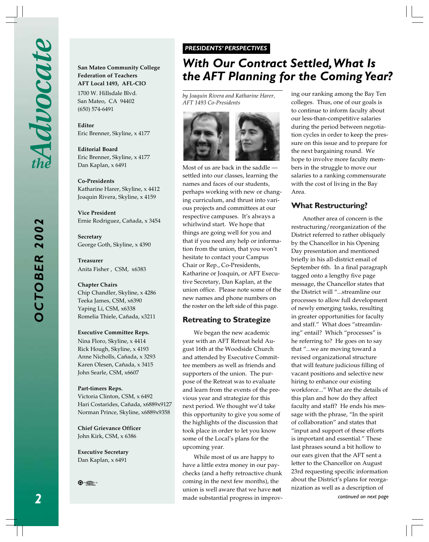*OCTOBER 2002* **CTOBER 200**  **San Mateo Community College Federation of Teachers AFT Local 1493, AFL-CIO** 1700 W. Hillsdale Blvd. San Mateo, CA 94402 (650) 574-6491

**Editor** Eric Brenner, Skyline, x 4177

**Editorial Board** Eric Brenner, Skyline, x 4177 Dan Kaplan, x 6491

**Co-Presidents** Katharine Harer, Skyline, x 4412 Joaquin Rivera, Skyline, x 4159

**Vice President** Ernie Rodriguez, Cañada, x 3454

**Secretary** George Goth, Skyline, x 4390

**Treasurer** Anita Fisher , CSM, x6383

**Chapter Chairs** Chip Chandler, Skyline, x 4286 Teeka James, CSM, x6390 Yaping Li, CSM, x6338 Romelia Thiele, Cañada, x3211

#### **Executive Committee Reps.**

Nina Floro, Skyline, x 4414 Rick Hough, Skyline, x 4193 Anne Nicholls, Cañada, x 3293 Karen Olesen, Cañada, x 3415 John Searle, CSM, x6607

#### **Part-timers Reps.**

Victoria Clinton, CSM, x 6492 Hari Costarides, Cañada, x6889x9127 Norman Prince, Skyline, x6889x9358

**Chief Grievance Officer** John Kirk, CSM, x 6386

**Executive Secretary** Dan Kaplan, x 6491



#### *PRESIDENTS' PERSPECTIVES PRESIDENTS' PERSPECTIVES*

# *With Our Contract Settled, What Is the AFT Planning for the Coming Year?*

*by Joaquin Rivera and Katharine Harer, AFT 1493 Co-Presidents*



Most of us are back in the saddle settled into our classes, learning the names and faces of our students, perhaps working with new or changing curriculum, and thrust into various projects and committees at our respective campuses. It's always a whirlwind start. We hope that things are going well for you and that if you need any help or information from the union, that you won't hesitate to contact your Campus Chair or Rep., Co-Presidents, Katharine or Joaquin, or AFT Executive Secretary, Dan Kaplan, at the union office. Please note some of the new names and phone numbers on the roster on the left side of this page.

#### **Retreating to Strategize**

We began the new academic year with an AFT Retreat held August 16th at the Woodside Church and attended by Executive Committee members as well as friends and supporters of the union. The purpose of the Retreat was to evaluate and learn from the events of the previous year and strategize for this next period. We thought we'd take this opportunity to give you some of the highlights of the discussion that took place in order to let you know some of the Local's plans for the upcoming year.

While most of us are happy to have a little extra money in our paychecks (and a hefty retroactive chunk coming in the next few months), the union is well aware that we have **not** made substantial progress in improv-

ing our ranking among the Bay Ten colleges. Thus, one of our goals is to continue to inform faculty about our less-than-competitive salaries during the period between negotiation cycles in order to keep the pressure on this issue and to prepare for the next bargaining round. We hope to involve more faculty members in the struggle to move our salaries to a ranking commensurate with the cost of living in the Bay Area.

#### **What Restructuring?**

*continued on next page* Another area of concern is the restructuring/reorganization of the District referred to rather obliquely by the Chancellor in his Opening Day presentation and mentioned briefly in his all-district email of September 6th. In a final paragraph tagged onto a lengthy five page message, the Chancellor states that the District will "...streamline our processes to allow full development of newly emerging tasks, resulting in greater opportunities for faculty and staff." What does "streamlining" entail? Which "processes" is he referring to? He goes on to say that "...we are moving toward a revised organizational structure that will feature judicious filling of vacant positions and selective new hiring to enhance our existing workforce..." What are the details of this plan and how do they affect faculty and staff? He ends his message with the phrase, "In the spirit of collaboration" and states that "input and support of these efforts is important and essential." These last phrases sound a bit hollow to our ears given that the AFT sent a letter to the Chancellor on August 23rd requesting specific information about the District's plans for reorganization as well as a description of

*2*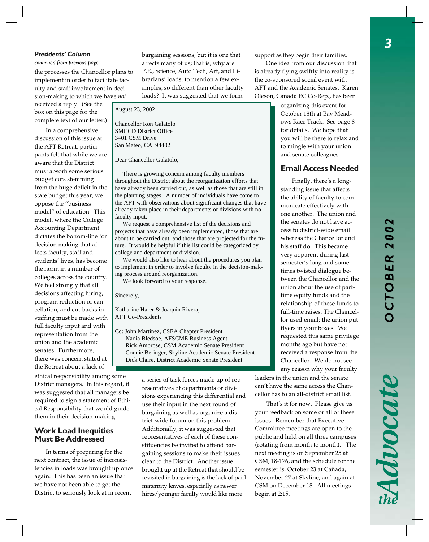#### *Presidents' Column*

#### *continued from previous page*

the processes the Chancellor plans to implement in order to facilitate faculty and staff involvement in decision-making to which we have *not*

received a reply. (See the box on this page for the complete text of our letter.)

In a comprehensive discussion of this issue at the AFT Retreat, participants felt that while we are aware that the District must absorb some serious budget cuts stemming from the huge deficit in the state budget this year, we oppose the "business model" of education. This model, where the College Accounting Department dictates the bottom-line for decision making that affects faculty, staff and students' lives, has become the norm in a number of colleges across the country. We feel strongly that all decisions affecting hiring, program reduction or cancellation, and cut-backs in staffing must be made with full faculty input and with representation from the union and the academic senates. Furthermore, there was concern stated at the Retreat about a lack of

ethical responsibility among some District managers. In this regard, it was suggested that all managers be required to sign a statement of Ethical Responsibility that would guide them in their decision-making.

#### **Work Load Inequities Must Be Addressed**

In terms of preparing for the next contract, the issue of inconsistencies in loads was brought up once again. This has been an issue that we have not been able to get the District to seriously look at in recent

bargaining sessions, but it is one that affects many of us; that is, why are P.E., Science, Auto Tech, Art, and Librarians' loads, to mention a few examples, so different than other faculty loads? It was suggested that we form

August 23, 2002

Chancellor Ron Galatolo SMCCD District Office 3401 CSM Drive San Mateo, CA 94402

Dear Chancellor Galatolo,

 There is growing concern among faculty members throughout the District about the reorganization efforts that have already been carried out, as well as those that are still in the planning stages. A number of individuals have come to the AFT with observations about significant changes that have already taken place in their departments or divisions with no faculty input.

 We request a comprehensive list of the decisions and projects that have already been implemented, those that are about to be carried out, and those that are projected for the future. It would be helpful if this list could be categorized by college and department or division.

 We would also like to hear about the procedures you plan to implement in order to involve faculty in the decision-making process around reorganization.

We look forward to your response.

Sincerely,

Katharine Harer & Joaquin Rivera, AFT Co-Presidents

Cc: John Martinez, CSEA Chapter President Nadia Bledsoe, AFSCME Business Agent Rick Ambrose, CSM Academic Senate President Connie Beringer, Skyline Academic Senate President Dick Claire, District Academic Senate President

> a series of task forces made up of representatives of departments or divisions experiencing this differential and use their input in the next round of bargaining as well as organize a district-wide forum on this problem. Additionally, it was suggested that representatives of each of these constituencies be invited to attend bargaining sessions to make their issues clear to the District. Another issue brought up at the Retreat that should be revisited in bargaining is the lack of paid maternity leaves, especially as newer hires/younger faculty would like more

support as they begin their families.

One idea from our discussion that is already flying swiftly into reality is the co-sponsored social event with AFT and the Academic Senates. Karen Oleson, Canada EC Co-Rep.**,** has been

> organizing this event for October 18th at Bay Meadows Race Track. See page 8 for details. We hope that you will be there to relax and to mingle with your union and senate colleagues.

#### **Email Access Needed**

Finally, there's a longstanding issue that affects the ability of faculty to communicate effectively with one another. The union and the senates do not have access to district-wide email whereas the Chancellor and his staff do. This became very apparent during last semester's long and sometimes twisted dialogue between the Chancellor and the union about the use of parttime equity funds and the relationship of these funds to full-time raises. The Chancellor used email; the union put flyers in your boxes. We requested this same privilege months ago but have not received a response from the Chancellor. We do not see any reason why your faculty

leaders in the union and the senate can't have the same access the Chancellor has to an all-district email list.

That's it for now. Please give us your feedback on some or all of these issues. Remember that Executive Committee meetings are open to the public and held on all three campuses (rotating from month to month**).** The next meeting is on September 25 at CSM, 18-176, and the schedule for the semester is: October 23 at Cañada, November 27 at Skyline, and again at CSM on December 18. All meetings begin at 2:15.

# **CTOBER 2002** *OCTOBER 2002*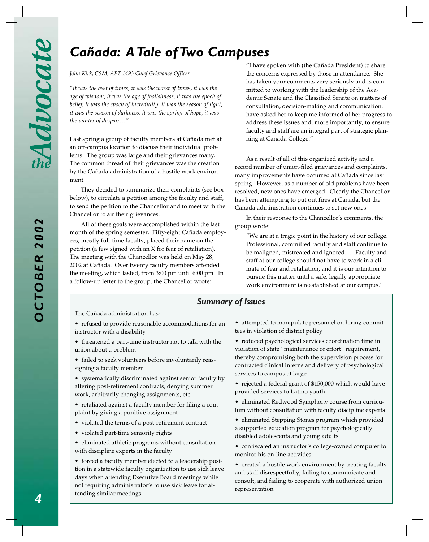# *Cañada: A Tale of Two Campuses*

*John Kirk, CSM, AFT 1493 Chief Grievance Officer*

*"It was the best of times, it was the worst of times, it was the age of wisdom, it was the age of foolishness, it was the epoch of belief, it was the epoch of incredulity, it was the season of light, it was the season of darkness, it was the spring of hope, it was the winter of despair…"*

Last spring a group of faculty members at Cañada met at an off-campus location to discuss their individual problems. The group was large and their grievances many. The common thread of their grievances was the creation by the Cañada administration of a hostile work environment.

They decided to summarize their complaints (see box below), to circulate a petition among the faculty and staff, to send the petition to the Chancellor and to meet with the Chancellor to air their grievances.

All of these goals were accomplished within the last month of the spring semester. Fifty-eight Cañada employees, mostly full-time faculty, placed their name on the petition (a few signed with an X for fear of retaliation). The meeting with the Chancellor was held on May 28, 2002 at Cañada. Over twenty faculty members attended the meeting, which lasted, from 3:00 pm until 6:00 pm. In a follow-up letter to the group, the Chancellor wrote:

"I have spoken with (the Cañada President) to share the concerns expressed by those in attendance. She has taken your comments very seriously and is committed to working with the leadership of the Academic Senate and the Classified Senate on matters of consultation, decision-making and communication. I have asked her to keep me informed of her progress to address these issues and, more importantly, to ensure faculty and staff are an integral part of strategic planning at Cañada College."

As a result of all of this organized activity and a record number of union-filed grievances and complaints, many improvements have occurred at Cañada since last spring. However, as a number of old problems have been resolved, new ones have emerged. Clearly the Chancellor has been attempting to put out fires at Cañada, but the Cañada administration continues to set new ones.

In their response to the Chancellor's comments, the group wrote:

"We are at a tragic point in the history of our college. Professional, committed faculty and staff continue to be maligned, mistreated and ignored. …Faculty and staff at our college should not have to work in a climate of fear and retaliation, and it is our intention to pursue this matter until a safe, legally appropriate work environment is reestablished at our campus."

#### *Summary of Issues*

The Cañada administration has:

- refused to provide reasonable accommodations for an instructor with a disability
- threatened a part-time instructor not to talk with the union about a problem
- failed to seek volunteers before involuntarily reassigning a faculty member

• systematically discriminated against senior faculty by altering post-retirement contracts, denying summer work, arbitrarily changing assignments, etc.

- retaliated against a faculty member for filing a complaint by giving a punitive assignment
- violated the terms of a post-retirement contract
- violated part-time seniority rights
- eliminated athletic programs without consultation with discipline experts in the faculty

• forced a faculty member elected to a leadership position in a statewide faculty organization to use sick leave days when attending Executive Board meetings while not requiring administrator's to use sick leave for attending similar meetings

• attempted to manipulate personnel on hiring committees in violation of district policy

• reduced psychological services coordination time in violation of state "maintenance of effort" requirement, thereby compromising both the supervision process for contracted clinical interns and delivery of psychological services to campus at large

- rejected a federal grant of \$150,000 which would have provided services to Latino youth
- eliminated Redwood Symphony course from curriculum without consultation with faculty discipline experts
- eliminated Stepping Stones program which provided a supported education program for psychologically disabled adolescents and young adults
- confiscated an instructor's college-owned computer to monitor his on-line activities
- created a hostile work environment by treating faculty and staff disrespectfully, failing to communicate and consult, and failing to cooperate with authorized union representation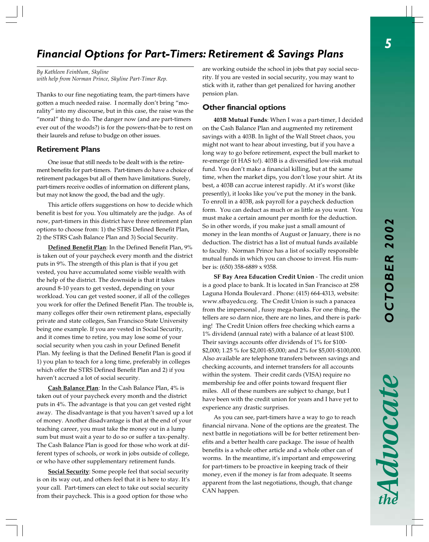# *Financial Options for Part-Timers: Retirement & Savings Plans*

*By Kathleen Feinblum, Skyline with help from Norman Prince, Skyline Part-Timer Rep.*

Thanks to our fine negotiating team, the part-timers have gotten a much needed raise. I normally don't bring "morality" into my discourse, but in this case, the raise was the "moral" thing to do. The danger now (and are part-timers ever out of the woods?) is for the powers-that-be to rest on their laurels and refuse to budge on other issues.

#### **Retirement Plans**

One issue that still needs to be dealt with is the retirement benefits for part-timers. Part-timers do have a choice of retirement packages but all of them have limitations. Surely, part-timers receive oodles of information on different plans, but may not know the good, the bad and the ugly.

This article offers suggestions on how to decide which benefit is best for you. You ultimately are the judge. As of now, part-timers in this district have three retirement plan options to choose from: 1) the STRS Defined Benefit Plan, 2) the STRS Cash Balance Plan and 3) Social Security.

**Defined Benefit Plan**: In the Defined Benefit Plan, 9% is taken out of your paycheck every month and the district puts in 9%. The strength of this plan is that if you get vested, you have accumulated some visible wealth with the help of the district. The downside is that it takes around 8-10 years to get vested, depending on your workload. You can get vested sooner, if all of the colleges you work for offer the Defined Benefit Plan. The trouble is, many colleges offer their own retirement plans, especially private and state colleges, San Francisco State University being one example. If you are vested in Social Security, and it comes time to retire, you may lose some of your social security when you cash in your Defined Benefit Plan. My feeling is that the Defined Benefit Plan is good if 1) you plan to teach for a long time, preferably in colleges which offer the STRS Defined Benefit Plan and 2) if you haven't accrued a lot of social security.

**Cash Balance Plan**: In the Cash Balance Plan, 4% is taken out of your paycheck every month and the district puts in 4%. The advantage is that you can get vested right away. The disadvantage is that you haven't saved up a lot of money. Another disadvantage is that at the end of your teaching career, you must take the money out in a lump sum but must wait a year to do so or suffer a tax-penalty. The Cash Balance Plan is good for those who work at different types of schools, or work in jobs outside of college, or who have other supplementary retirement funds.

**Social Security**: Some people feel that social security is on its way out, and others feel that it is here to stay. It's your call. Part-timers can elect to take out social security from their paycheck. This is a good option for those who

are working outside the school in jobs that pay social security. If you are vested in social security, you may want to stick with it, rather than get penalized for having another pension plan.

#### **Other financial options**

**403B Mutual Funds**: When I was a part-timer, I decided on the Cash Balance Plan and augmented my retirement savings with a 403B. In light of the Wall Street chaos, you might not want to hear about investing, but if you have a long way to go before retirement, expect the bull market to re-emerge (it HAS to!). 403B is a diversified low-risk mutual fund. You don't make a financial killing, but at the same time, when the market dips, you don't lose your shirt. At its best, a 403B can accrue interest rapidly. At it's worst (like presently), it looks like you've put the money in the bank. To enroll in a 403B, ask payroll for a paycheck deduction form. You can deduct as much or as little as you want. You must make a certain amount per month for the deduction. So in other words, if you make just a small amount of money in the lean months of August or January, there is no deduction. The district has a list of mutual funds available to faculty. Norman Prince has a list of socially responsible mutual funds in which you can choose to invest. His number is: (650) 358-6889 x 9358.

**SF Bay Area Education Credit Union** - The credit union is a good place to bank. It is located in San Francisco at 258 Laguna Honda Boulevard . Phone: (415) 664-4313, website: www.sfbayedcu.org. The Credit Union is such a panacea from the impersonal , fussy mega-banks. For one thing, the tellers are so darn nice, there are no lines, and there is parking! The Credit Union offers free checking which earns a 1% dividend (annual rate) with a balance of at least \$100. Their savings accounts offer dividends of 1% for \$100- \$2,000; 1.25 % for \$2,001-\$5,000; and 2% for \$5,001-\$100,000. Also available are telephone transfers between savings and checking accounts, and internet transfers for all accounts within the system. Their credit cards (VISA) require no membership fee and offer points toward frequent flier miles. All of these numbers are subject to change, but I have been with the credit union for years and I have yet to experience any drastic surprises.

As you can see, part-timers have a way to go to reach financial nirvana. None of the options are the greatest. The next battle in negotiations will be for better retirement benefits and a better health care package. The issue of health benefits is a whole other article and a whole other can of worms. In the meantime, it's important and empowering for part-timers to be proactive in keeping track of their money, even if the money is far from adequate. It seems apparent from the last negotiations, though, that change CAN happen.

 $\frac{1}{2}\sum_{k=1}^{n}\sum_{k=1}^{n}$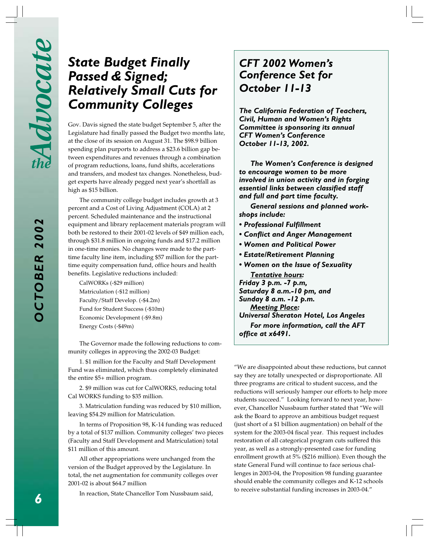# *State Budget Finally Passed & Signed; Relatively Small Cuts for Community Colleges*

Gov. Davis signed the state budget September 5, after the Legislature had finally passed the Budget two months late, at the close of its session on August 31. The \$98.9 billion spending plan purports to address a \$23.6 billion gap between expenditures and revenues through a combination of program reductions, loans, fund shifts, accelerations and transfers, and modest tax changes. Nonetheless, budget experts have already pegged next year's shortfall as high as \$15 billion.

The community college budget includes growth at 3 percent and a Cost of Living Adjustment (COLA) at 2 percent. Scheduled maintenance and the instructional equipment and library replacement materials program will both be restored to their 2001-02 levels of \$49 million each, through \$31.8 million in ongoing funds and \$17.2 million in one-time monies. No changes were made to the parttime faculty line item, including \$57 million for the parttime equity compensation fund, office hours and health benefits. Legislative reductions included:

CalWORKs (-\$29 million) Matriculation (-\$12 million) Faculty/Staff Develop. (-\$4.2m) Fund for Student Success (-\$10m) Economic Development (-\$9.8m) Energy Costs (-\$49m)

The Governor made the following reductions to community colleges in approving the 2002-03 Budget:

1. \$1 million for the Faculty and Staff Development Fund was eliminated, which thus completely eliminated the entire \$5+ million program.

2. \$9 million was cut for CalWORKS, reducing total Cal WORKS funding to \$35 million.

3. Matriculation funding was reduced by \$10 million, leaving \$54.29 million for Matriculation.

In terms of Proposition 98, K-14 funding was reduced by a total of \$137 million. Community colleges' two pieces (Faculty and Staff Development and Matriculation) total \$11 million of this amount.

All other appropriations were unchanged from the version of the Budget approved by the Legislature. In total, the net augmentation for community colleges over 2001-02 is about \$64.7 million

In reaction, State Chancellor Tom Nussbaum said,

# *CFT 2002 Women's Conference Set for October 11-13*

*The California Federation of Teachers, Civil, Human and Women's Rights Committee is sponsoring its annual CFT Women's Conference October 11-13, 2002.*

*The Women's Conference is designed to encourage women to be more involved in union activity and in forging essential links between classified staff and full and part time faculty.*

*General sessions and planned workshops include:*

- *Professional Fulfillment*
- *Conflict and Anger Management*
- *Women and Political Power*
- *Estate/Retirement Planning*
- *Women on the Issue of Sexuality Tentative hours:*

*Friday 3 p.m. -7 p.m, Saturday 8 a.m.-10 pm, and Sunday 8 a.m. -12 p.m. Meeting Place:*

*Universal Sheraton Hotel, Los Angeles For more information, call the AFT office at x6491.*

"We are disappointed about these reductions, but cannot say they are totally unexpected or disproportionate. All three programs are critical to student success, and the reductions will seriously hamper our efforts to help more students succeed." Looking forward to next year, however, Chancellor Nussbaum further stated that "We will ask the Board to approve an ambitious budget request (just short of a \$1 billion augmentation) on behalf of the system for the 2003-04 fiscal year. This request includes restoration of all categorical program cuts suffered this year, as well as a strongly-presented case for funding enrollment growth at 5% (\$216 million). Even though the state General Fund will continue to face serious challenges in 2003-04, the Proposition 98 funding guarantee should enable the community colleges and K-12 schools to receive substantial funding increases in 2003-04."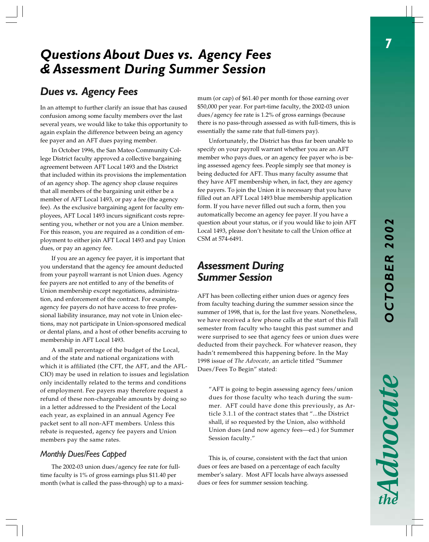# *Questions About Dues vs. Agency Fees & Assessment During Summer Session*

## *Dues vs. Agency Fees*

In an attempt to further clarify an issue that has caused confusion among some faculty members over the last several years, we would like to take this opportunity to again explain the difference between being an agency fee payer and an AFT dues paying member.

In October 1996, the San Mateo Community College District faculty approved a collective bargaining agreement between AFT Local 1493 and the District that included within its provisions the implementation of an agency shop. The agency shop clause requires that all members of the bargaining unit either be a member of AFT Local 1493, or pay a fee (the agency fee). As the exclusive bargaining agent for faculty employees, AFT Local 1493 incurs significant costs representing you, whether or not you are a Union member. For this reason, you are required as a condition of employment to either join AFT Local 1493 and pay Union dues, or pay an agency fee.

If you are an agency fee payer, it is important that you understand that the agency fee amount deducted from your payroll warrant is not Union dues. Agency fee payers are not entitled to any of the benefits of Union membership except negotiations, administration, and enforcement of the contract. For example, agency fee payers do not have access to free professional liability insurance, may not vote in Union elections, may not participate in Union-sponsored medical or dental plans, and a host of other benefits accruing to membership in AFT Local 1493.

A small percentage of the budget of the Local, and of the state and national organizations with which it is affiliated (the CFT, the AFT, and the AFL-CIO) may be used in relation to issues and legislation only incidentally related to the terms and conditions of employment. Fee payers may therefore request a refund of these non-chargeable amounts by doing so in a letter addressed to the President of the Local each year, as explained in an annual Agency Fee packet sent to all non-AFT members. Unless this rebate is requested, agency fee payers and Union members pay the same rates.

#### *Monthly Dues/Fees Capped*

The 2002-03 union dues/agency fee rate for fulltime faculty is 1% of gross earnings plus \$11.40 per month (what is called the pass-through) up to a maximum (or cap) of \$61.40 per month for those earning over \$50,000 per year. For part-time faculty, the 2002-03 union dues/agency fee rate is 1.2% of gross earnings (because there is no pass-through assessed as with full-timers, this is essentially the same rate that full-timers pay).

Unfortunately, the District has thus far been unable to specify on your payroll warrant whether you are an AFT member who pays dues, or an agency fee payer who is being assessed agency fees. People simply see that money is being deducted for AFT. Thus many faculty assume that they have AFT membership when, in fact, they are agency fee payers. To join the Union it is necessary that you have filled out an AFT Local 1493 blue membership application form. If you have never filled out such a form, then you automatically become an agency fee payer. If you have a question about your status, or if you would like to join AFT Local 1493, please don't hesitate to call the Union office at CSM at 574-6491.

### *Assessment During Summer Session*

AFT has been collecting either union dues or agency fees from faculty teaching during the summer session since the summer of 1998, that is, for the last five years. Nonetheless, we have received a few phone calls at the start of this Fall semester from faculty who taught this past summer and were surprised to see that agency fees or union dues were deducted from their paycheck. For whatever reason, they hadn't remembered this happening before. In the May 1998 issue of *The Advocate,* an article titled "Summer Dues/Fees To Begin" stated:

"AFT is going to begin assessing agency fees/union dues for those faculty who teach during the summer. AFT could have done this previously, as Article 3.1.1 of the contract states that "...the District shall, if so requested by the Union, also withhold Union dues (and now agency fees—ed.) for Summer Session faculty."

This is, of course, consistent with the fact that union dues or fees are based on a percentage of each faculty member's salary. Most AFT locals have always assessed dues or fees for summer session teaching.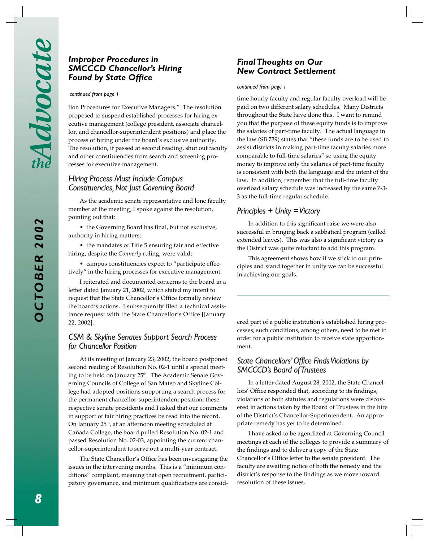#### *Improper Procedures in SMCCCD Chancellor's Hiring Found by State Office*

#### *continued from page 1*

tion Procedures for Executive Managers." The resolution proposed to suspend established processes for hiring executive management (college president, associate chancellor, and chancellor-superintendent positions) and place the process of hiring under the board's exclusive authority. The resolution, if passed at second reading, shut out faculty and other constituencies from search and screening processes for executive management.

#### *Hiring Process Must Include Campus Constituencies, Not Just Governing Board*

As the academic senate representative and lone faculty member at the meeting, I spoke against the resolution, pointing out that:

• the Governing Board has final, but not exclusive, authority in hiring matters;

• the mandates of Title 5 ensuring fair and effective hiring, despite the *Connerly* ruling, were valid;

• campus constituencies expect to "participate effectively" in the hiring processes for executive management.

I reiterated and documented concerns to the board in a letter dated January 21, 2002, which stated my intent to request that the State Chancellor's Office formally review the board's actions. I subsequently filed a technical assistance request with the State Chancellor's Office [January 22, 2002].

#### *CSM & Skyline Senates Support Search Process for Chancellor Position*

At its meeting of January 23, 2002, the board postponed second reading of Resolution No. 02-1 until a special meeting to be held on January 25<sup>th</sup>. The Academic Senate Governing Councils of College of San Mateo and Skyline College had adopted positions supporting a search process for the permanent chancellor-superintendent position; these respective senate presidents and I asked that our comments in support of fair hiring practices be read into the record. On January 25<sup>th</sup>, at an afternoon meeting scheduled at Cañada College, the board pulled Resolution No. 02-1 and passed Resolution No. 02-03, appointing the current chancellor-superintendent to serve out a multi-year contract.

The State Chancellor's Office has been investigating the issues in the intervening months. This is a "minimum conditions" complaint, meaning that open recruitment, participatory governance, and minimum qualifications are consid-

#### *Final Thoughts on Our New Contract Settlement*

#### *continued from page 1*

time hourly faculty and regular faculty overload will be paid on two different salary schedules. Many Districts throughout the State have done this. I want to remind you that the purpose of these equity funds is to improve the salaries of part-time faculty. The actual language in the law (SB 739) states that "these funds are to be used to assist districts in making part-time faculty salaries more comparable to full-time salaries" so using the equity money to improve only the salaries of part-time faculty is consistent with both the language and the intent of the law. In addition, remember that the full-time faculty overload salary schedule was increased by the same 7-3- 3 as the full-time regular schedule.

#### *Principles + Unity = Victory*

In addition to this significant raise we were also successful in bringing back a sabbatical program (called extended leaves). This was also a significant victory as the District was quite reluctant to add this program.

This agreement shows how if we stick to our principles and stand together in unity we can be successful in achieving our goals.

ered part of a public institution's established hiring processes; such conditions, among others, need to be met in order for a public institution to receive state apportionment.

#### *State Chancellors' Office Finds Violations by SMCCCD's Board of Trustees*

In a letter dated August 28, 2002, the State Chancellors' Office responded that, according to its findings, violations of both statutes and regulations were discovered in actions taken by the Board of Trustees in the hire of the District's Chancellor-Superintendent. An appropriate remedy has yet to be determined.

I have asked to be agendized at Governing Council meetings at each of the colleges to provide a summary of the findings and to deliver a copy of the State Chancellor's Office letter to the senate president. The faculty are awaiting notice of both the remedy and the district's response to the findings as we move toward resolution of these issues.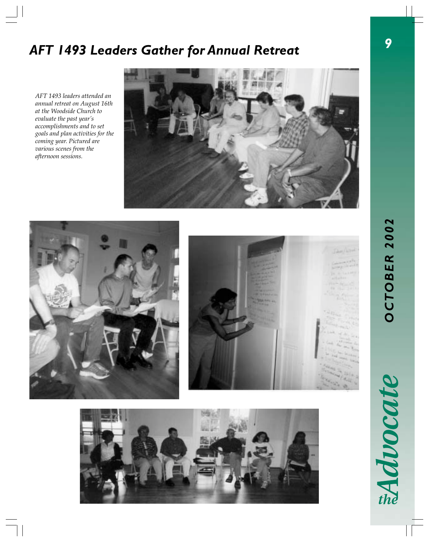# *AFT 1493 Leaders Gather for Annual Retreat*

*AFT 1493 leaders attended an annual retreat on August 16th at the Woodside Church to evaluate the past year's accomplishments and to set goals and plan activities for the coming year. Pictured are various scenes from the afternoon sessions.*

 $\frac{1}{\sqrt{2}}$ 









# EAdvocate